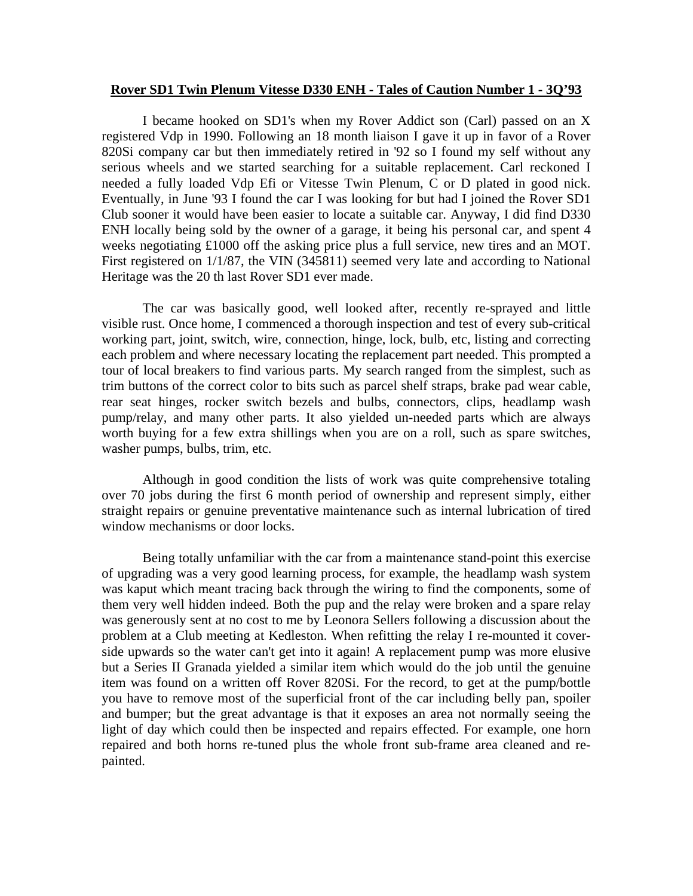## **Rover SD1 Twin Plenum Vitesse D330 ENH - Tales of Caution Number 1 - 3Q'93**

 I became hooked on SD1's when my Rover Addict son (Carl) passed on an X registered Vdp in 1990. Following an 18 month liaison I gave it up in favor of a Rover 820Si company car but then immediately retired in '92 so I found my self without any serious wheels and we started searching for a suitable replacement. Carl reckoned I needed a fully loaded Vdp Efi or Vitesse Twin Plenum, C or D plated in good nick. Eventually, in June '93 I found the car I was looking for but had I joined the Rover SD1 Club sooner it would have been easier to locate a suitable car. Anyway, I did find D330 ENH locally being sold by the owner of a garage, it being his personal car, and spent 4 weeks negotiating £1000 off the asking price plus a full service, new tires and an MOT. First registered on 1/1/87, the VIN (345811) seemed very late and according to National Heritage was the 20 th last Rover SD1 ever made.

 The car was basically good, well looked after, recently re-sprayed and little visible rust. Once home, I commenced a thorough inspection and test of every sub-critical working part, joint, switch, wire, connection, hinge, lock, bulb, etc, listing and correcting each problem and where necessary locating the replacement part needed. This prompted a tour of local breakers to find various parts. My search ranged from the simplest, such as trim buttons of the correct color to bits such as parcel shelf straps, brake pad wear cable, rear seat hinges, rocker switch bezels and bulbs, connectors, clips, headlamp wash pump/relay, and many other parts. It also yielded un-needed parts which are always worth buying for a few extra shillings when you are on a roll, such as spare switches, washer pumps, bulbs, trim, etc.

 Although in good condition the lists of work was quite comprehensive totaling over 70 jobs during the first 6 month period of ownership and represent simply, either straight repairs or genuine preventative maintenance such as internal lubrication of tired window mechanisms or door locks.

Being totally unfamiliar with the car from a maintenance stand-point this exercise of upgrading was a very good learning process, for example, the headlamp wash system was kaput which meant tracing back through the wiring to find the components, some of them very well hidden indeed. Both the pup and the relay were broken and a spare relay was generously sent at no cost to me by Leonora Sellers following a discussion about the problem at a Club meeting at Kedleston. When refitting the relay I re-mounted it coverside upwards so the water can't get into it again! A replacement pump was more elusive but a Series II Granada yielded a similar item which would do the job until the genuine item was found on a written off Rover 820Si. For the record, to get at the pump/bottle you have to remove most of the superficial front of the car including belly pan, spoiler and bumper; but the great advantage is that it exposes an area not normally seeing the light of day which could then be inspected and repairs effected. For example, one horn repaired and both horns re-tuned plus the whole front sub-frame area cleaned and repainted.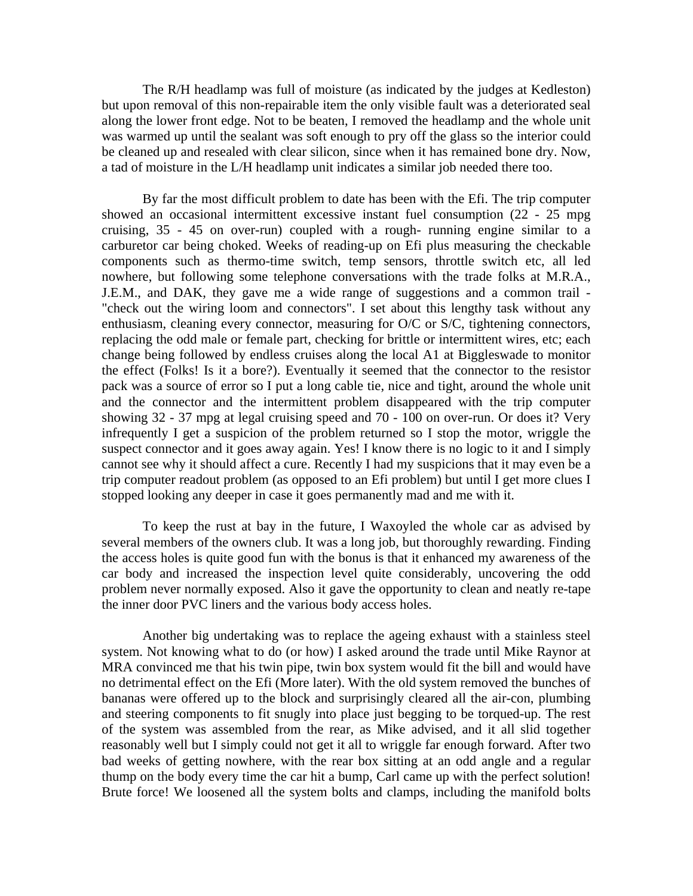The R/H headlamp was full of moisture (as indicated by the judges at Kedleston) but upon removal of this non-repairable item the only visible fault was a deteriorated seal along the lower front edge. Not to be beaten, I removed the headlamp and the whole unit was warmed up until the sealant was soft enough to pry off the glass so the interior could be cleaned up and resealed with clear silicon, since when it has remained bone dry. Now, a tad of moisture in the L/H headlamp unit indicates a similar job needed there too.

 By far the most difficult problem to date has been with the Efi. The trip computer showed an occasional intermittent excessive instant fuel consumption (22 - 25 mpg cruising, 35 - 45 on over-run) coupled with a rough- running engine similar to a carburetor car being choked. Weeks of reading-up on Efi plus measuring the checkable components such as thermo-time switch, temp sensors, throttle switch etc, all led nowhere, but following some telephone conversations with the trade folks at M.R.A., J.E.M., and DAK, they gave me a wide range of suggestions and a common trail - "check out the wiring loom and connectors". I set about this lengthy task without any enthusiasm, cleaning every connector, measuring for O/C or S/C, tightening connectors, replacing the odd male or female part, checking for brittle or intermittent wires, etc; each change being followed by endless cruises along the local A1 at Biggleswade to monitor the effect (Folks! Is it a bore?). Eventually it seemed that the connector to the resistor pack was a source of error so I put a long cable tie, nice and tight, around the whole unit and the connector and the intermittent problem disappeared with the trip computer showing 32 - 37 mpg at legal cruising speed and 70 - 100 on over-run. Or does it? Very infrequently I get a suspicion of the problem returned so I stop the motor, wriggle the suspect connector and it goes away again. Yes! I know there is no logic to it and I simply cannot see why it should affect a cure. Recently I had my suspicions that it may even be a trip computer readout problem (as opposed to an Efi problem) but until I get more clues I stopped looking any deeper in case it goes permanently mad and me with it.

 To keep the rust at bay in the future, I Waxoyled the whole car as advised by several members of the owners club. It was a long job, but thoroughly rewarding. Finding the access holes is quite good fun with the bonus is that it enhanced my awareness of the car body and increased the inspection level quite considerably, uncovering the odd problem never normally exposed. Also it gave the opportunity to clean and neatly re-tape the inner door PVC liners and the various body access holes.

 Another big undertaking was to replace the ageing exhaust with a stainless steel system. Not knowing what to do (or how) I asked around the trade until Mike Raynor at MRA convinced me that his twin pipe, twin box system would fit the bill and would have no detrimental effect on the Efi (More later). With the old system removed the bunches of bananas were offered up to the block and surprisingly cleared all the air-con, plumbing and steering components to fit snugly into place just begging to be torqued-up. The rest of the system was assembled from the rear, as Mike advised, and it all slid together reasonably well but I simply could not get it all to wriggle far enough forward. After two bad weeks of getting nowhere, with the rear box sitting at an odd angle and a regular thump on the body every time the car hit a bump, Carl came up with the perfect solution! Brute force! We loosened all the system bolts and clamps, including the manifold bolts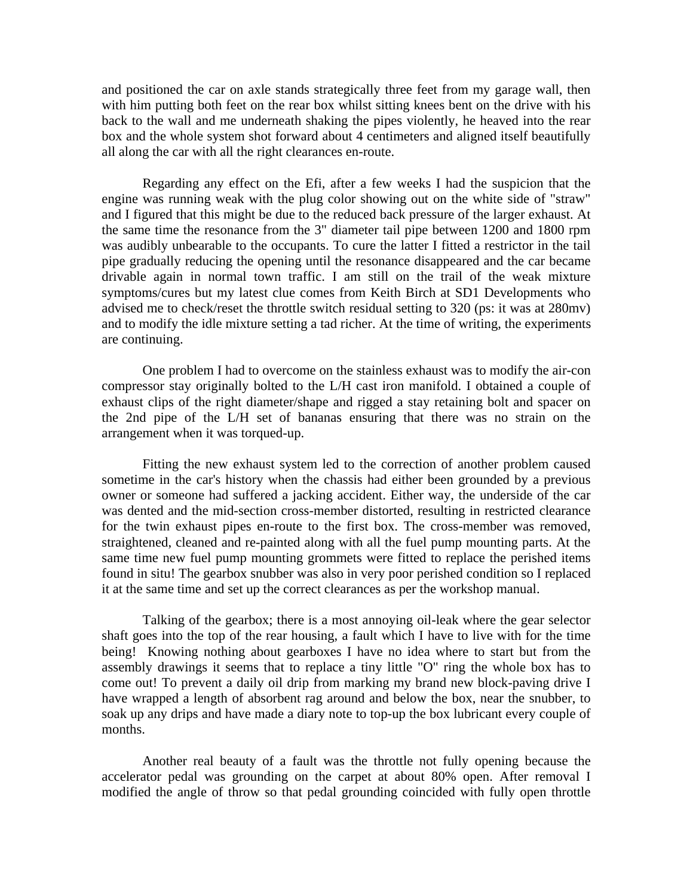and positioned the car on axle stands strategically three feet from my garage wall, then with him putting both feet on the rear box whilst sitting knees bent on the drive with his back to the wall and me underneath shaking the pipes violently, he heaved into the rear box and the whole system shot forward about 4 centimeters and aligned itself beautifully all along the car with all the right clearances en-route.

 Regarding any effect on the Efi, after a few weeks I had the suspicion that the engine was running weak with the plug color showing out on the white side of "straw" and I figured that this might be due to the reduced back pressure of the larger exhaust. At the same time the resonance from the 3" diameter tail pipe between 1200 and 1800 rpm was audibly unbearable to the occupants. To cure the latter I fitted a restrictor in the tail pipe gradually reducing the opening until the resonance disappeared and the car became drivable again in normal town traffic. I am still on the trail of the weak mixture symptoms/cures but my latest clue comes from Keith Birch at SD1 Developments who advised me to check/reset the throttle switch residual setting to 320 (ps: it was at 280mv) and to modify the idle mixture setting a tad richer. At the time of writing, the experiments are continuing.

 One problem I had to overcome on the stainless exhaust was to modify the air-con compressor stay originally bolted to the L/H cast iron manifold. I obtained a couple of exhaust clips of the right diameter/shape and rigged a stay retaining bolt and spacer on the 2nd pipe of the L/H set of bananas ensuring that there was no strain on the arrangement when it was torqued-up.

 Fitting the new exhaust system led to the correction of another problem caused sometime in the car's history when the chassis had either been grounded by a previous owner or someone had suffered a jacking accident. Either way, the underside of the car was dented and the mid-section cross-member distorted, resulting in restricted clearance for the twin exhaust pipes en-route to the first box. The cross-member was removed, straightened, cleaned and re-painted along with all the fuel pump mounting parts. At the same time new fuel pump mounting grommets were fitted to replace the perished items found in situ! The gearbox snubber was also in very poor perished condition so I replaced it at the same time and set up the correct clearances as per the workshop manual.

 Talking of the gearbox; there is a most annoying oil-leak where the gear selector shaft goes into the top of the rear housing, a fault which I have to live with for the time being! Knowing nothing about gearboxes I have no idea where to start but from the assembly drawings it seems that to replace a tiny little "O" ring the whole box has to come out! To prevent a daily oil drip from marking my brand new block-paving drive I have wrapped a length of absorbent rag around and below the box, near the snubber, to soak up any drips and have made a diary note to top-up the box lubricant every couple of months.

 Another real beauty of a fault was the throttle not fully opening because the accelerator pedal was grounding on the carpet at about 80% open. After removal I modified the angle of throw so that pedal grounding coincided with fully open throttle